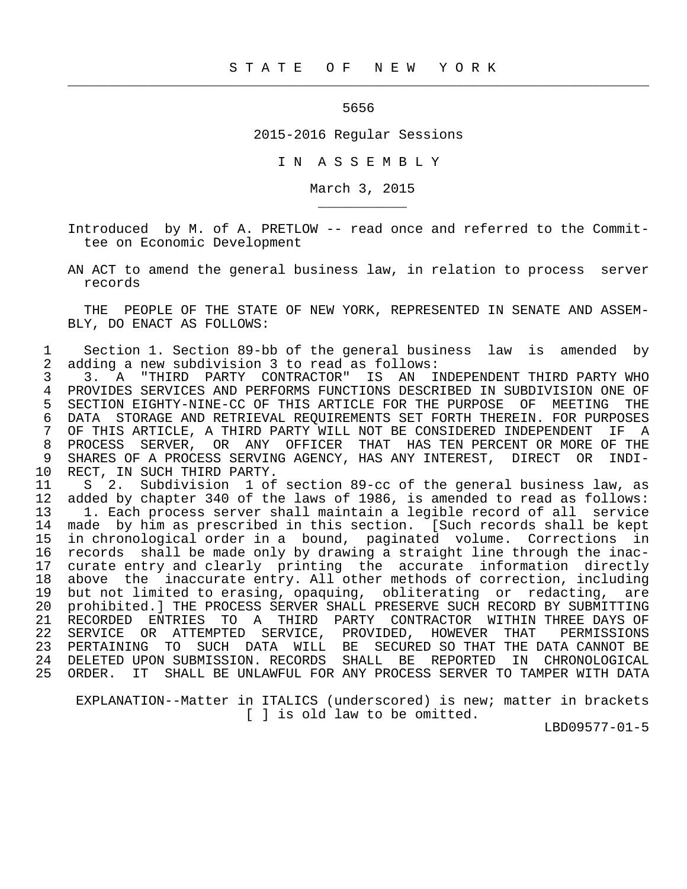## 5656

 $\frac{1}{2}$  , and the contract of the contract of the contract of the contract of the contract of the contract of the contract of the contract of the contract of the contract of the contract of the contract of the contract

\_\_\_\_\_\_\_\_\_\_\_

2015-2016 Regular Sessions

I N A S S E M B L Y

March 3, 2015

 Introduced by M. of A. PRETLOW -- read once and referred to the Commit tee on Economic Development

 AN ACT to amend the general business law, in relation to process server records

 THE PEOPLE OF THE STATE OF NEW YORK, REPRESENTED IN SENATE AND ASSEM- BLY, DO ENACT AS FOLLOWS:

1 Section 1. Section 89-bb of the general business law is amended by<br>2 adding a new subdivision 3 to read as follows: 2 adding a new subdivision 3 to read as follows:<br>3 3. A "THIRD PARTY CONTRACTOR" IS AN I

3 3. A "THIRD PARTY CONTRACTOR" IS AN INDEPENDENT THIRD PARTY WHO<br>4 PROVIDES SERVICES AND PERFORMS FUNCTIONS DESCRIBED IN SUBDIVISION ONE OF 4 PROVIDES SERVICES AND PERFORMS FUNCTIONS DESCRIBED IN SUBDIVISION ONE OF<br>5 SECTION EIGHTY-NINE-CC OF THIS ARTICLE FOR THE PURPOSE OF MEETING THE 5 SECTION EIGHTY-NINE-CC OF THIS ARTICLE FOR THE PURPOSE OF MEETING THE 6 DATA STORAGE AND RETRIEVAL REQUIREMENTS SET FORTH THEREIN. FOR PURPOSES<br>7 OF THIS ARTICLE, A THIRD PARTY WILL NOT BE CONSIDERED INDEPENDENT IF A 7 OF THIS ARTICLE, A THIRD PARTY WILL NOT BE CONSIDERED INDEPENDENT IF A<br>8 PROCESS SERVER, OR ANY OFFICER THAT HAS TEN PERCENT OR MORE OF THE 8 PROCESS SERVER, OR ANY OFFICER THAT HAS TEN PERCENT OR MORE OF THE 9 SHARES OF A PROCESS SERVING AGENCY, HAS ANY INTEREST, DIRECT OR INDI-9 SHARES OF A PROCESS SERVING AGENCY, HAS ANY INTEREST, DIRECT OR INDI-<br>10 RECT, IN SUCH THIRD PARTY. RECT, IN SUCH THIRD PARTY.

11 S 2. Subdivision 1 of section 89-cc of the general business law, as<br>12 added by chapter 340 of the laws of 1986, is amended to read as follows: 12 added by chapter 340 of the laws of 1986, is amended to read as follows:<br>13 1. Each process server shall maintain a legible record of all service 13 1. Each process server shall maintain a legible record of all service<br>14 made by him as prescribed in this section. [Such records shall be kept made by him as prescribed in this section. [Such records shall be kept 15 in chronological order in a bound, paginated volume. Corrections in 16 records shall be made only by drawing a straight line through the inac- 17 curate entry and clearly printing the accurate information directly<br>18 above the inaccurate entry. All other methods of correction, including 18 above the inaccurate entry. All other methods of correction, including<br>19 but not limited to erasing, opaguing, obliterating or redacting, are 19 but not limited to erasing, opaquing, obliterating or redacting, are<br>20 prohibited.] THE PROCESS SERVER SHALL PRESERVE SUCH RECORD BY SUBMITTING 20 prohibited.] THE PROCESS SERVER SHALL PRESERVE SUCH RECORD BY SUBMITTING<br>21 RECORDED ENTRIES TO A THIRD PARTY CONTRACTOR WITHIN THREE DAYS OF 21 RECORDED ENTRIES TO A THIRD PARTY CONTRACTOR WITHIN THREE DAYS OF 22 SERVICE OR ATTEMPTED SERVICE, PROVIDED, HOWEVER THAT PERMISSIONS<br>23 PERTAINING TO SUCH DATA WILL BE SECURED SO THAT THE DATA-CANNOT BE SUCH DATA WILL BE SECURED SO THAT THE DATA CANNOT BE 24 DELETED UPON SUBMISSION. RECORDS SHALL BE REPORTED IN CHRONOLOGICAL<br>25 ORDER. IT SHALL BE UNLAWFUL FOR ANY PROCESS SERVER TO TAMPER WITH DATA SHALL BE UNLAWFUL FOR ANY PROCESS SERVER TO TAMPER WITH DATA

 EXPLANATION--Matter in ITALICS (underscored) is new; matter in brackets [ ] is old law to be omitted.

LBD09577-01-5